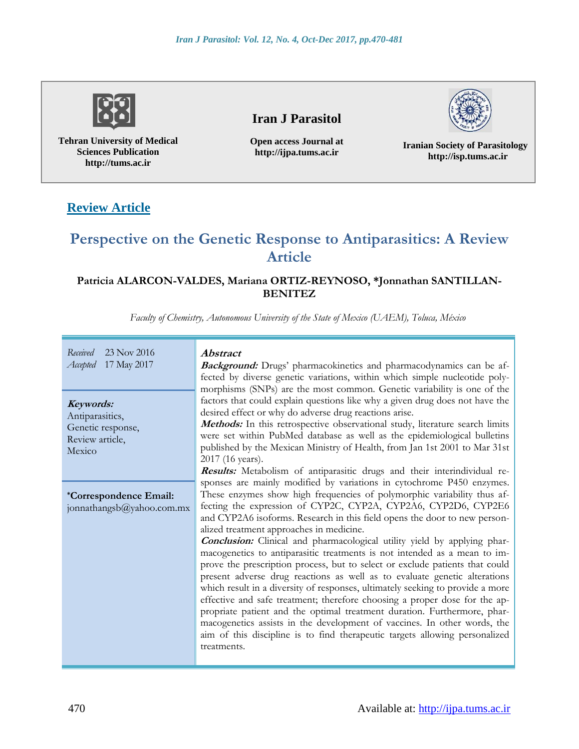

**Tehran University of Medical Sciences Publication http://tums.ac.ir**

## **Iran J Parasitol**

**Open access Journal at http://ijpa.tums.ac.ir**

**Iranian Society of Parasitology http://isp.tums.ac.ir**

# **Review Article**

# **Perspective on the Genetic Response to Antiparasitics: A Review Article**

## **Patricia ALARCON-VALDES, Mariana ORTIZ-REYNOSO, \*Jonnathan SANTILLAN-BENITEZ**

*Faculty of Chemistry, Autonomous University of the State of Mexico (UAEM), Toluca, México*

| Received<br>23 Nov 2016<br>17 May 2017<br>Accepted                             | <b>Abstract</b><br><b>Background:</b> Drugs' pharmacokinetics and pharmacodynamics can be af-<br>fected by diverse genetic variations, within which simple nucleotide poly-<br>morphisms (SNPs) are the most common. Genetic variability is one of the                                                                                                                                                                                                                                                                                                                                                                                                                                                                                                                                                                                                                                                                                                                                                                                                                                                                                                                     |
|--------------------------------------------------------------------------------|----------------------------------------------------------------------------------------------------------------------------------------------------------------------------------------------------------------------------------------------------------------------------------------------------------------------------------------------------------------------------------------------------------------------------------------------------------------------------------------------------------------------------------------------------------------------------------------------------------------------------------------------------------------------------------------------------------------------------------------------------------------------------------------------------------------------------------------------------------------------------------------------------------------------------------------------------------------------------------------------------------------------------------------------------------------------------------------------------------------------------------------------------------------------------|
| Keywords:<br>Antiparasitics,<br>Genetic response,<br>Review article,<br>Mexico | factors that could explain questions like why a given drug does not have the<br>desired effect or why do adverse drug reactions arise.<br>Methods: In this retrospective observational study, literature search limits<br>were set within PubMed database as well as the epidemiological bulletins<br>published by the Mexican Ministry of Health, from Jan 1st 2001 to Mar 31st<br>2017 (16 years).                                                                                                                                                                                                                                                                                                                                                                                                                                                                                                                                                                                                                                                                                                                                                                       |
| <i>*Correspondence Email:</i><br>jonnathangsb@yahoo.com.mx                     | Results: Metabolism of antiparasitic drugs and their interindividual re-<br>sponses are mainly modified by variations in cytochrome P450 enzymes.<br>These enzymes show high frequencies of polymorphic variability thus af-<br>fecting the expression of CYP2C, CYP2A, CYP2A6, CYP2D6, CYP2E6<br>and CYP2A6 isoforms. Research in this field opens the door to new person-<br>alized treatment approaches in medicine.<br><b>Conclusion:</b> Clinical and pharmacological utility yield by applying phar-<br>macogenetics to antiparasitic treatments is not intended as a mean to im-<br>prove the prescription process, but to select or exclude patients that could<br>present adverse drug reactions as well as to evaluate genetic alterations<br>which result in a diversity of responses, ultimately seeking to provide a more<br>effective and safe treatment; therefore choosing a proper dose for the ap-<br>propriate patient and the optimal treatment duration. Furthermore, phar-<br>macogenetics assists in the development of vaccines. In other words, the<br>aim of this discipline is to find therapeutic targets allowing personalized<br>treatments. |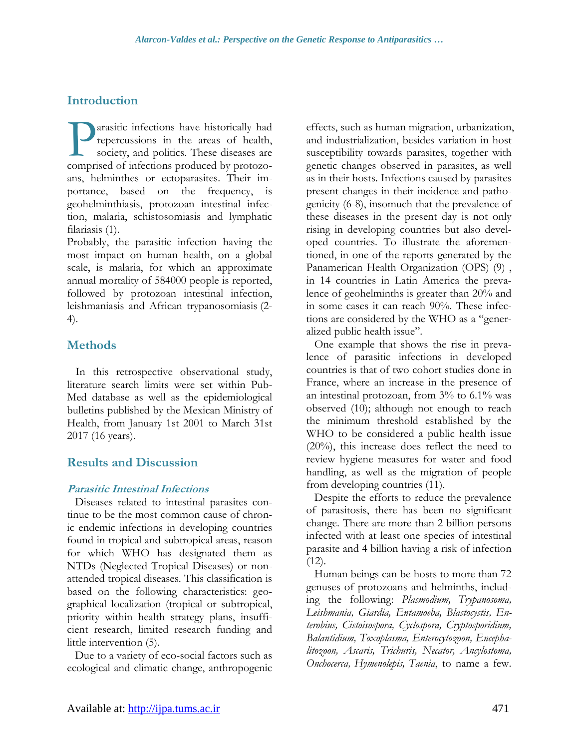## **Introduction**

arasitic infections have historically had repercussions in the areas of health, society, and politics. These diseases are **COMPRESE COMPREND TO A SET OF SERVICE A** society, and politics. These diseases are comprised of infections produced by protozoans, helminthes or ectoparasites. Their importance, based on the frequency, is geohelminthiasis, protozoan intestinal infection, malaria, schistosomiasis and lymphatic filariasis (1).

Probably, the parasitic infection having the most impact on human health, on a global scale, is malaria, for which an approximate annual mortality of 584000 people is reported, followed by protozoan intestinal infection, leishmaniasis and African trypanosomiasis (2- 4).

## **Methods**

 In this retrospective observational study, literature search limits were set within Pub-Med database as well as the epidemiological bulletins published by the Mexican Ministry of Health, from January 1st 2001 to March 31st 2017 (16 years).

## **Results and Discussion**

#### **Parasitic Intestinal Infections**

Diseases related to intestinal parasites continue to be the most common cause of chronic endemic infections in developing countries found in tropical and subtropical areas, reason for which WHO has designated them as NTDs (Neglected Tropical Diseases) or nonattended tropical diseases. This classification is based on the following characteristics: geographical localization (tropical or subtropical, priority within health strategy plans, insufficient research, limited research funding and little intervention (5).

Due to a variety of eco-social factors such as ecological and climatic change, anthropogenic effects, such as human migration, urbanization, and industrialization, besides variation in host susceptibility towards parasites, together with genetic changes observed in parasites, as well as in their hosts. Infections caused by parasites present changes in their incidence and pathogenicity (6-8), insomuch that the prevalence of these diseases in the present day is not only rising in developing countries but also developed countries. To illustrate the aforementioned, in one of the reports generated by the Panamerican Health Organization (OPS) (9) , in 14 countries in Latin America the prevalence of geohelminths is greater than 20% and in some cases it can reach 90%. These infections are considered by the WHO as a "generalized public health issue".

One example that shows the rise in prevalence of parasitic infections in developed countries is that of two cohort studies done in France, where an increase in the presence of an intestinal protozoan, from 3% to 6.1% was observed (10); although not enough to reach the minimum threshold established by the WHO to be considered a public health issue (20%), this increase does reflect the need to review hygiene measures for water and food handling, as well as the migration of people from developing countries (11).

Despite the efforts to reduce the prevalence of parasitosis, there has been no significant change. There are more than 2 billion persons infected with at least one species of intestinal parasite and 4 billion having a risk of infection  $(12)$ .

Human beings can be hosts to more than 72 genuses of protozoans and helminths, including the following: *Plasmodium, Trypanosoma, Leishmania, Giardia, Entamoeba, Blastocystis, Enterobius, Cistoisospora, Cyclospora, Cryptosporidium, Balantidium, Toxoplasma, Enterocytozoon, Encephalitozoon, Ascaris, Trichuris, Necator, Ancylostoma, Onchocerca, Hymenolepis, Taenia*, to name a few.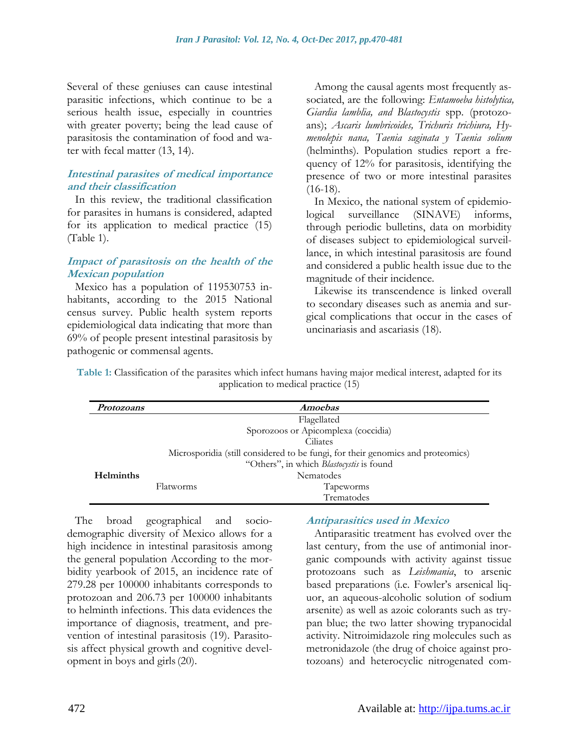Several of these geniuses can cause intestinal parasitic infections, which continue to be a serious health issue, especially in countries with greater poverty; being the lead cause of parasitosis the contamination of food and water with fecal matter (13, 14).

#### **Intestinal parasites of medical importance and their classification**

In this review, the traditional classification for parasites in humans is considered, adapted for its application to medical practice (15) (Table 1).

#### **Impact of parasitosis on the health of the Mexican population**

Mexico has a population of 119530753 inhabitants, according to the 2015 National census survey. Public health system reports epidemiological data indicating that more than 69% of people present intestinal parasitosis by pathogenic or commensal agents.

Among the causal agents most frequently associated, are the following: *Entamoeba histolytica, Giardia lamblia, and Blastocystis* spp. (protozoans); *Ascaris lumbricoides, Trichuris trichiura, Hymenolepis nana, Taenia saginata y Taenia solium* (helminths). Population studies report a frequency of 12% for parasitosis, identifying the presence of two or more intestinal parasites (16-18).

In Mexico, the national system of epidemiological surveillance (SINAVE) informs, through periodic bulletins, data on morbidity of diseases subject to epidemiological surveillance, in which intestinal parasitosis are found and considered a public health issue due to the magnitude of their incidence.

Likewise its transcendence is linked overall to secondary diseases such as anemia and surgical complications that occur in the cases of uncinariasis and ascariasis (18).

**Table 1:** Classification of the parasites which infect humans having major medical interest, adapted for its application to medical practice (15)

| Protozoans       | <b>Amoebas</b>                                                                 |                                     |  |  |  |  |  |  |
|------------------|--------------------------------------------------------------------------------|-------------------------------------|--|--|--|--|--|--|
|                  | Flagellated                                                                    |                                     |  |  |  |  |  |  |
|                  |                                                                                | Sporozoos or Apicomplexa (coccidia) |  |  |  |  |  |  |
|                  | Ciliates                                                                       |                                     |  |  |  |  |  |  |
|                  | Microspondia (still considered to be fungi, for their genomics and proteomics) |                                     |  |  |  |  |  |  |
|                  | "Others", in which <i>Blastocystis</i> is found                                |                                     |  |  |  |  |  |  |
| <b>Helminths</b> | <b>Nematodes</b>                                                               |                                     |  |  |  |  |  |  |
|                  | <b>Flatworms</b>                                                               | <b>Tapeworms</b>                    |  |  |  |  |  |  |
|                  |                                                                                | Trematodes                          |  |  |  |  |  |  |

The broad geographical and sociodemographic diversity of Mexico allows for a high incidence in intestinal parasitosis among the general population According to the morbidity yearbook of 2015, an incidence rate of 279.28 per 100000 inhabitants corresponds to protozoan and 206.73 per 100000 inhabitants to helminth infections. This data evidences the importance of diagnosis, treatment, and prevention of intestinal parasitosis (19). Parasitosis affect physical growth and cognitive development in boys and girls(20).

#### **Antiparasitics used in Mexico**

Antiparasitic treatment has evolved over the last century, from the use of antimonial inorganic compounds with activity against tissue protozoans such as *Leishmania*, to arsenic based preparations (i.e. Fowler's arsenical liquor, an aqueous-alcoholic solution of sodium arsenite) as well as azoic colorants such as trypan blue; the two latter showing trypanocidal activity. Nitroimidazole ring molecules such as metronidazole (the drug of choice against protozoans) and heterocyclic nitrogenated com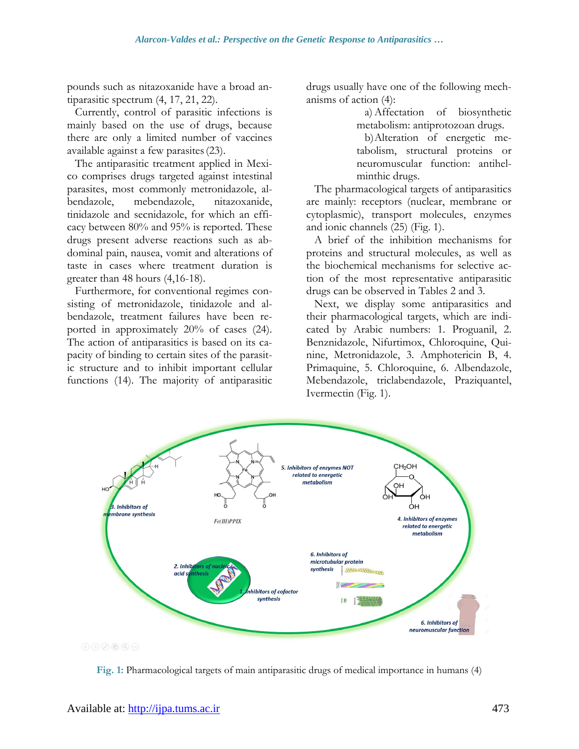pounds such as nitazoxanide have a broad antiparasitic spectrum (4, 17, 21, 22).

Currently, control of parasitic infections is mainly based on the use of drugs, because there are only a limited number of vaccines available against a few parasites(23).

The antiparasitic treatment applied in Mexico comprises drugs targeted against intestinal parasites, most commonly metronidazole, albendazole, mebendazole, nitazoxanide, tinidazole and secnidazole, for which an efficacy between 80% and 95% is reported. These drugs present adverse reactions such as abdominal pain, nausea, vomit and alterations of taste in cases where treatment duration is greater than 48 hours (4,16-18).

Furthermore, for conventional regimes consisting of metronidazole, tinidazole and albendazole, treatment failures have been reported in approximately 20% of cases (24). The action of antiparasitics is based on its capacity of binding to certain sites of the parasitic structure and to inhibit important cellular functions (14). The majority of antiparasitic drugs usually have one of the following mechanisms of action (4):

> a)Affectation of biosynthetic metabolism: antiprotozoan drugs.

> b)Alteration of energetic metabolism, structural proteins or neuromuscular function: antihelminthic drugs.

The pharmacological targets of antiparasitics are mainly: receptors (nuclear, membrane or cytoplasmic), transport molecules, enzymes and ionic channels (25) (Fig. 1).

A brief of the inhibition mechanisms for proteins and structural molecules, as well as the biochemical mechanisms for selective action of the most representative antiparasitic drugs can be observed in Tables 2 and 3.

Next, we display some antiparasitics and their pharmacological targets, which are indicated by Arabic numbers: 1. Proguanil, 2. Benznidazole, Nifurtimox, Chloroquine, Quinine, Metronidazole, 3. Amphotericin B, 4. Primaquine, 5. Chloroquine, 6. Albendazole, Mebendazole, triclabendazole, Praziquantel, Ivermectin (Fig. 1).



**Fig. 1:** Pharmacological targets of main antiparasitic drugs of medical importance in humans (4)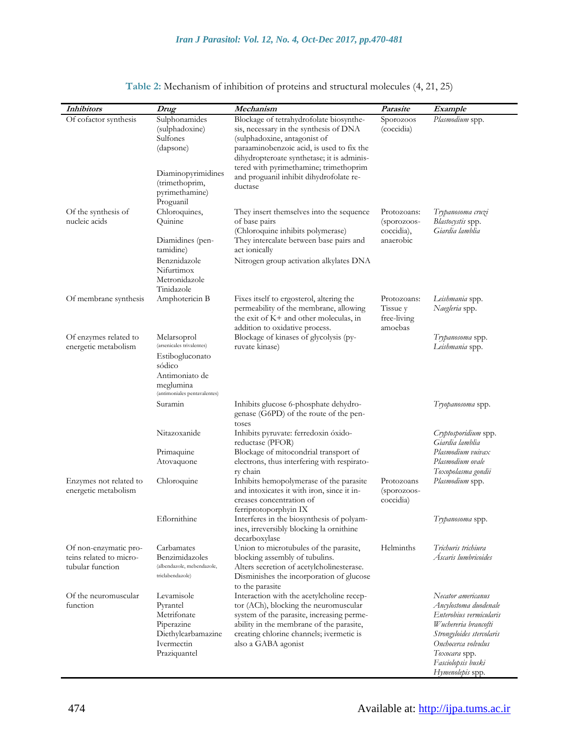| <b>Inhibitors</b>                                                    | Drug                                                                                                                                 | Mechanism                                                                                                                                                                                                                                                                                                    | Parasite                                              | Example                                                                                                                                                                                                       |  |  |
|----------------------------------------------------------------------|--------------------------------------------------------------------------------------------------------------------------------------|--------------------------------------------------------------------------------------------------------------------------------------------------------------------------------------------------------------------------------------------------------------------------------------------------------------|-------------------------------------------------------|---------------------------------------------------------------------------------------------------------------------------------------------------------------------------------------------------------------|--|--|
| Of cofactor synthesis                                                | Sulphonamides<br>(sulphadoxine)<br>Sulfones<br>(dapsone)<br>Diaminopyrimidines<br>(trimethoprim,<br>pyrimethamine)<br>Proguanil      | Blockage of tetrahydrofolate biosynthe-<br>sis, necessary in the synthesis of DNA<br>(sulphadoxine, antagonist of<br>paraaminobenzoic acid, is used to fix the<br>dihydropteroate synthetase; it is adminis-<br>tered with pyrimethamine; trimethoprim<br>and proguanil inhibit dihydrofolate re-<br>ductase | Sporozoos<br>(coccidia)                               | Plasmodium spp.                                                                                                                                                                                               |  |  |
| Of the synthesis of<br>nucleic acids                                 | Chloroquines,<br>Quinine<br>Diamidines (pen-<br>tamidine)<br>Benznidazole<br>Nifurtimox<br>Metronidazole<br>Tinidazole               | They insert themselves into the sequence<br>of base pairs<br>(Chloroquine inhibits polymerase)<br>They intercalate between base pairs and<br>act ionically<br>Nitrogen group activation alkylates DNA                                                                                                        | Protozoans:<br>(sporozoos-<br>coccidia),<br>anaerobic | Trypanosoma cruzi<br>Blastocystis spp.<br>Giardia lamblia                                                                                                                                                     |  |  |
| Of membrane synthesis                                                | Amphotericin B                                                                                                                       | Fixes itself to ergosterol, altering the<br>permeability of the membrane, allowing<br>the exit of K+ and other moleculas, in<br>addition to oxidative process.                                                                                                                                               | Protozoans:<br>Tissue y<br>free-living<br>amoebas     | Leishmania spp.<br>Naegleria spp.                                                                                                                                                                             |  |  |
| Of enzymes related to<br>energetic metabolism                        | Melarsoprol<br>(arsenicales trivalentes)<br>Estibogluconato<br>sódico<br>Antimoniato de<br>meglumina<br>(antimoniales pentavalentes) | Blockage of kinases of glycolysis (py-<br>ruvate kinase)                                                                                                                                                                                                                                                     |                                                       | Trypanosoma spp.<br>Leishmania spp.                                                                                                                                                                           |  |  |
|                                                                      | Suramin                                                                                                                              | Inhibits glucose 6-phosphate dehydro-<br>genase (G6PD) of the route of the pen-<br>toses                                                                                                                                                                                                                     |                                                       | Tryopanosoma spp.                                                                                                                                                                                             |  |  |
|                                                                      | Nitazoxanide<br>Primaquine                                                                                                           | Inhibits pyruvate: ferredoxin óxido-<br>reductase (PFOR)<br>Blockage of mitocondrial transport of                                                                                                                                                                                                            |                                                       | Cryptosporidium spp.<br>Giardia lamblia<br>Plasmodium vuivax                                                                                                                                                  |  |  |
|                                                                      | Atovaquone                                                                                                                           | electrons, thus interfering with respirato-<br>ry chain                                                                                                                                                                                                                                                      |                                                       | Plasmodium ovale<br>Toxopolasma gondii                                                                                                                                                                        |  |  |
| Enzymes not related to<br>energetic metabolism                       | Chloroquine                                                                                                                          | Inhibits hemopolymerase of the parasite<br>and intoxicates it with iron, since it in-<br>creases concentration of<br>ferriprotoporphyin IX                                                                                                                                                                   | Protozoans<br>(sporozoos-<br>coccidia)                | Plasmodium spp.                                                                                                                                                                                               |  |  |
|                                                                      | Eflornithine                                                                                                                         | Interferes in the biosynthesis of polyam-<br>ines, irreversibly blocking la ornithine<br>decarboxylase                                                                                                                                                                                                       |                                                       | Trypanosoma spp.                                                                                                                                                                                              |  |  |
| Of non-enzymatic pro-<br>teins related to micro-<br>tubular function | Carbamates<br>Benzimidazoles<br>(albendazole, mebendazole,<br>triclabendazole)                                                       | Union to microtubules of the parasite,<br>blocking assembly of tubulins.<br>Alters secretion of acetylcholinesterase.<br>Disminishes the incorporation of glucose<br>to the parasite                                                                                                                         | Helminths                                             | Trichuris trichiura<br>Áscaris lumbricoides                                                                                                                                                                   |  |  |
| Of the neuromuscular<br>function                                     | Levamisole<br>Pyrantel<br>Metrifonate<br>Piperazine<br>Diethylcarbamazine<br>Ivermectin<br>Praziquantel                              | Interaction with the acetylcholine recep-<br>tor (ACh), blocking the neuromuscular<br>system of the parasite, increasing perme-<br>ability in the membrane of the parasite,<br>creating chlorine channels; ivermetic is<br>also a GABA agonist                                                               |                                                       | Necator americanus<br>Ancylostoma duodenale<br>Enterobius vermicularis<br>Wuchereria brancofti<br>Strongyloides stercolaris<br>Onchocerca volvulus<br>Toxocara spp.<br>Fasciolopsis buski<br>Hymenolepis spp. |  |  |

#### **Table 2:** Mechanism of inhibition of proteins and structural molecules (4, 21, 25)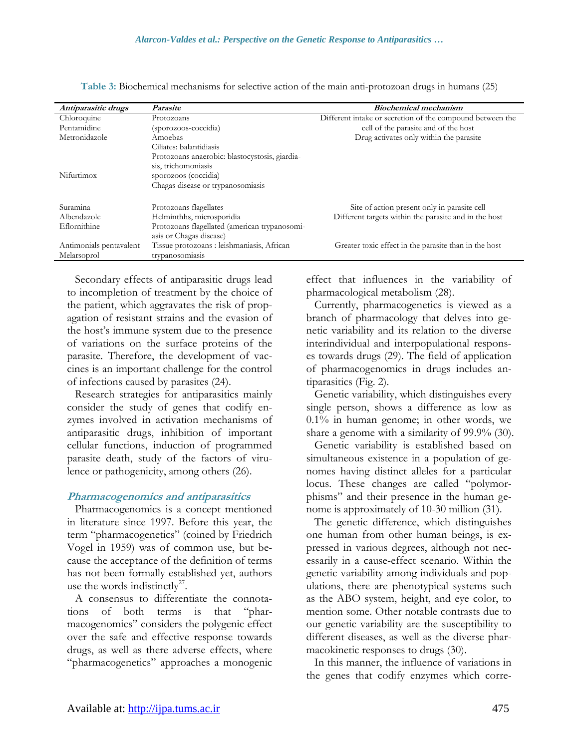| Antiparasitic drugs     | Parasite                                       | <i>Biochemical mechanism</i>                              |
|-------------------------|------------------------------------------------|-----------------------------------------------------------|
| Chloroquine             | Protozoans                                     | Different intake or secretion of the compound between the |
| Pentamidine             | (sporozoos-coccidia)                           | cell of the parasite and of the host                      |
| Metronidazole           | Amoebas                                        | Drug activates only within the parasite                   |
|                         | Ciliates: balantidiasis                        |                                                           |
|                         | Protozoans anaerobic: blastocystosis, giardia- |                                                           |
|                         | sis, trichomoniasis                            |                                                           |
| Nifurtimox              | sporozoos (coccidia)                           |                                                           |
|                         | Chagas disease or trypanosomiasis              |                                                           |
| Suramina                | Protozoans flagellates                         | Site of action present only in parasite cell              |
| Albendazole             | Helminthhs, microsporidia                      | Different targets within the parasite and in the host     |
| Eflornithine            | Protozoans flagellated (american trypanosomi-  |                                                           |
|                         | asis or Chagas disease)                        |                                                           |
| Antimonials pentavalent | Tissue protozoans : leishmaniasis, African     | Greater toxic effect in the parasite than in the host     |
| Melarsoprol             | trypanosomiasis                                |                                                           |

**Table 3:** Biochemical mechanisms for selective action of the main anti-protozoan drugs in humans (25)

Secondary effects of antiparasitic drugs lead to incompletion of treatment by the choice of the patient, which aggravates the risk of propagation of resistant strains and the evasion of the host's immune system due to the presence of variations on the surface proteins of the parasite. Therefore, the development of vaccines is an important challenge for the control of infections caused by parasites (24).

Research strategies for antiparasitics mainly consider the study of genes that codify enzymes involved in activation mechanisms of antiparasitic drugs, inhibition of important cellular functions, induction of programmed parasite death, study of the factors of virulence or pathogenicity, among others (26).

#### **Pharmacogenomics and antiparasitics**

Pharmacogenomics is a concept mentioned in literature since 1997. Before this year, the term "pharmacogenetics" (coined by Friedrich Vogel in 1959) was of common use, but because the acceptance of the definition of terms has not been formally established yet, authors use the words indistinctly<sup>27</sup>.

A consensus to differentiate the connotations of both terms is that "pharmacogenomics" considers the polygenic effect over the safe and effective response towards drugs, as well as there adverse effects, where "pharmacogenetics" approaches a monogenic effect that influences in the variability of pharmacological metabolism (28).

Currently, pharmacogenetics is viewed as a branch of pharmacology that delves into genetic variability and its relation to the diverse interindividual and interpopulational responses towards drugs (29). The field of application of pharmacogenomics in drugs includes antiparasitics (Fig. 2).

Genetic variability, which distinguishes every single person, shows a difference as low as 0.1% in human genome; in other words, we share a genome with a similarity of 99.9% (30).

Genetic variability is established based on simultaneous existence in a population of genomes having distinct alleles for a particular locus. These changes are called "polymorphisms" and their presence in the human genome is approximately of 10-30 million (31).

The genetic difference, which distinguishes one human from other human beings, is expressed in various degrees, although not necessarily in a cause-effect scenario. Within the genetic variability among individuals and populations, there are phenotypical systems such as the ABO system, height, and eye color, to mention some. Other notable contrasts due to our genetic variability are the susceptibility to different diseases, as well as the diverse pharmacokinetic responses to drugs (30).

In this manner, the influence of variations in the genes that codify enzymes which corre-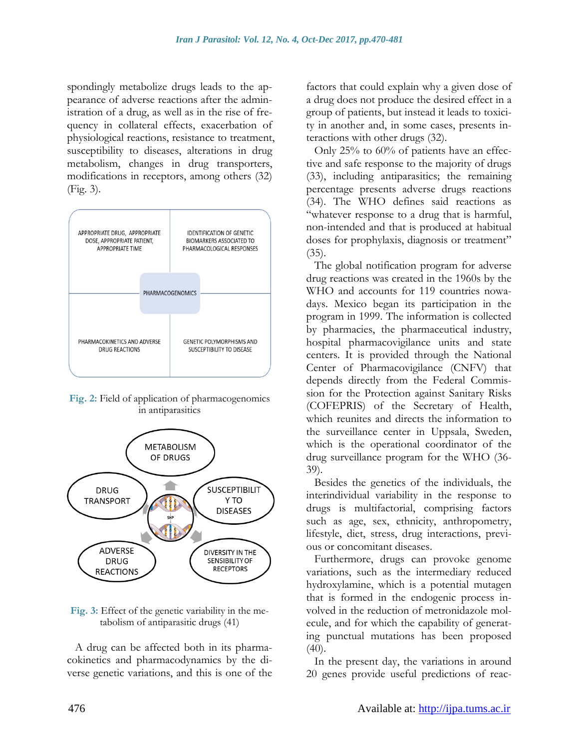spondingly metabolize drugs leads to the appearance of adverse reactions after the administration of a drug, as well as in the rise of frequency in collateral effects, exacerbation of physiological reactions, resistance to treatment, susceptibility to diseases, alterations in drug metabolism, changes in drug transporters, modifications in receptors, among others (32) (Fig. 3).



**Fig. 2:** Field of application of pharmacogenomics in antiparasitics



**Fig. 3:** Effect of the genetic variability in the metabolism of antiparasitic drugs (41)

A drug can be affected both in its pharmacokinetics and pharmacodynamics by the diverse genetic variations, and this is one of the factors that could explain why a given dose of a drug does not produce the desired effect in a group of patients, but instead it leads to toxicity in another and, in some cases, presents interactions with other drugs (32).

Only 25% to 60% of patients have an effective and safe response to the majority of drugs (33), including antiparasitics; the remaining percentage presents adverse drugs reactions (34). The WHO defines said reactions as "whatever response to a drug that is harmful, non-intended and that is produced at habitual doses for prophylaxis, diagnosis or treatment"  $(35)$ .

The global notification program for adverse drug reactions was created in the 1960s by the WHO and accounts for 119 countries nowadays. Mexico began its participation in the program in 1999. The information is collected by pharmacies, the pharmaceutical industry, hospital pharmacovigilance units and state centers. It is provided through the National Center of Pharmacovigilance (CNFV) that depends directly from the Federal Commission for the Protection against Sanitary Risks (COFEPRIS) of the Secretary of Health, which reunites and directs the information to the surveillance center in Uppsala, Sweden, which is the operational coordinator of the drug surveillance program for the WHO (36- 39).

Besides the genetics of the individuals, the interindividual variability in the response to drugs is multifactorial, comprising factors such as age, sex, ethnicity, anthropometry, lifestyle, diet, stress, drug interactions, previous or concomitant diseases.

Furthermore, drugs can provoke genome variations, such as the intermediary reduced hydroxylamine, which is a potential mutagen that is formed in the endogenic process involved in the reduction of metronidazole molecule, and for which the capability of generating punctual mutations has been proposed  $(40).$ 

In the present day, the variations in around 20 genes provide useful predictions of reac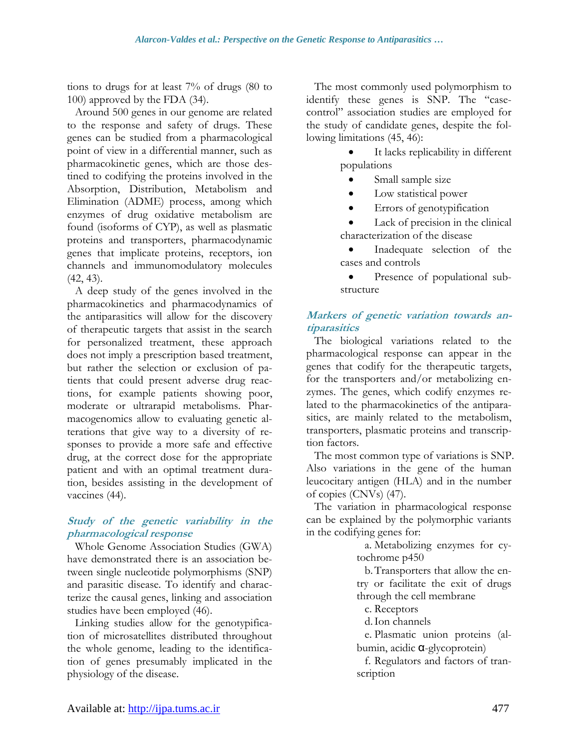tions to drugs for at least 7% of drugs (80 to 100) approved by the FDA (34).

Around 500 genes in our genome are related to the response and safety of drugs. These genes can be studied from a pharmacological point of view in a differential manner, such as pharmacokinetic genes, which are those destined to codifying the proteins involved in the Absorption, Distribution, Metabolism and Elimination (ADME) process, among which enzymes of drug oxidative metabolism are found (isoforms of CYP), as well as plasmatic proteins and transporters, pharmacodynamic genes that implicate proteins, receptors, ion channels and immunomodulatory molecules (42, 43).

A deep study of the genes involved in the pharmacokinetics and pharmacodynamics of the antiparasitics will allow for the discovery of therapeutic targets that assist in the search for personalized treatment, these approach does not imply a prescription based treatment, but rather the selection or exclusion of patients that could present adverse drug reactions, for example patients showing poor, moderate or ultrarapid metabolisms. Pharmacogenomics allow to evaluating genetic alterations that give way to a diversity of responses to provide a more safe and effective drug, at the correct dose for the appropriate patient and with an optimal treatment duration, besides assisting in the development of vaccines (44).

#### **Study of the genetic variability in the pharmacological response**

Whole Genome Association Studies (GWA) have demonstrated there is an association between single nucleotide polymorphisms (SNP) and parasitic disease. To identify and characterize the causal genes, linking and association studies have been employed (46).

Linking studies allow for the genotypification of microsatellites distributed throughout the whole genome, leading to the identification of genes presumably implicated in the physiology of the disease.

The most commonly used polymorphism to identify these genes is SNP. The "casecontrol" association studies are employed for the study of candidate genes, despite the following limitations (45, 46):

- It lacks replicability in different populations
	- Small sample size
	- Low statistical power
	- Errors of genotypification
- Lack of precision in the clinical characterization of the disease
- Inadequate selection of the cases and controls
- Presence of populational substructure

## **Markers of genetic variation towards antiparasitics**

The biological variations related to the pharmacological response can appear in the genes that codify for the therapeutic targets, for the transporters and/or metabolizing enzymes. The genes, which codify enzymes related to the pharmacokinetics of the antiparasitics, are mainly related to the metabolism, transporters, plasmatic proteins and transcription factors.

The most common type of variations is SNP. Also variations in the gene of the human leucocitary antigen (HLA) and in the number of copies (CNVs) (47).

The variation in pharmacological response can be explained by the polymorphic variants in the codifying genes for:

a. Metabolizing enzymes for cytochrome p450

b.Transporters that allow the entry or facilitate the exit of drugs through the cell membrane

c. Receptors

d.Ion channels

e. Plasmatic union proteins (albumin, acidic α-glycoprotein)

f. Regulators and factors of transcription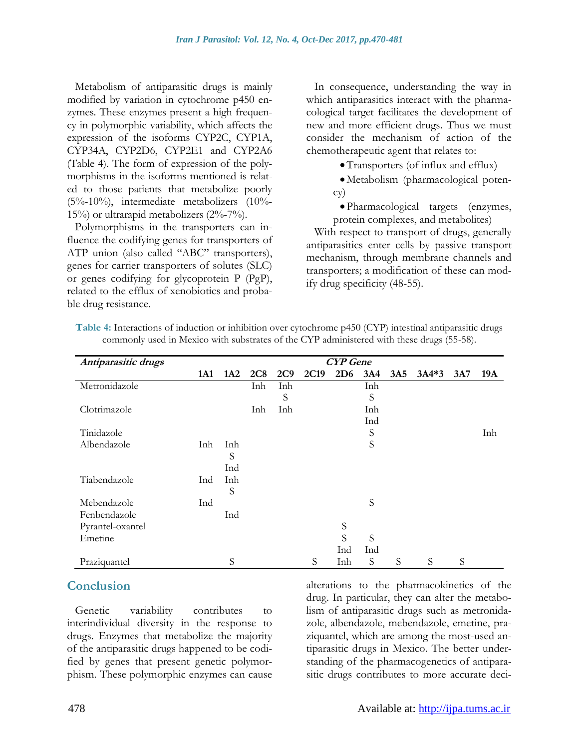Metabolism of antiparasitic drugs is mainly modified by variation in cytochrome p450 enzymes. These enzymes present a high frequency in polymorphic variability, which affects the expression of the isoforms CYP2C, CYP1A, CYP34A, CYP2D6, CYP2E1 and CYP2A6 (Table 4). The form of expression of the polymorphisms in the isoforms mentioned is related to those patients that metabolize poorly (5%-10%), intermediate metabolizers (10%- 15%) or ultrarapid metabolizers (2%-7%).

Polymorphisms in the transporters can influence the codifying genes for transporters of ATP union (also called "ABC" transporters), genes for carrier transporters of solutes (SLC) or genes codifying for glycoprotein P (PgP), related to the efflux of xenobiotics and probable drug resistance.

In consequence, understanding the way in which antiparasitics interact with the pharmacological target facilitates the development of new and more efficient drugs. Thus we must consider the mechanism of action of the chemotherapeutic agent that relates to:

Transporters (of influx and efflux)

Metabolism (pharmacological potency)

Pharmacological targets (enzymes, protein complexes, and metabolites)

With respect to transport of drugs, generally antiparasitics enter cells by passive transport mechanism, through membrane channels and transporters; a modification of these can modify drug specificity (48-55).

| Antiparasitic drugs | <b>CYP</b> Gene |     |     |     |      |     |     |     |         |     |     |
|---------------------|-----------------|-----|-----|-----|------|-----|-----|-----|---------|-----|-----|
|                     | 1A1             | 1A2 | 2C8 | 2C9 | 2C19 | 2D6 | 3A4 | 3A5 | $3A4*3$ | 3A7 | 19A |
| Metronidazole       |                 |     | Inh | Inh |      |     | Inh |     |         |     |     |
|                     |                 |     |     | S   |      |     | S   |     |         |     |     |
| Clotrimazole        |                 |     | Inh | Inh |      |     | Inh |     |         |     |     |
|                     |                 |     |     |     |      |     | Ind |     |         |     |     |
| Tinidazole          |                 |     |     |     |      |     | S   |     |         |     | Inh |
| Albendazole         | Inh             | Inh |     |     |      |     | S   |     |         |     |     |
|                     |                 | S   |     |     |      |     |     |     |         |     |     |
|                     |                 | Ind |     |     |      |     |     |     |         |     |     |
| Tiabendazole        | Ind             | Inh |     |     |      |     |     |     |         |     |     |
|                     |                 | S   |     |     |      |     |     |     |         |     |     |
| Mebendazole         | Ind             |     |     |     |      |     | S   |     |         |     |     |
| Fenbendazole        |                 | Ind |     |     |      |     |     |     |         |     |     |
| Pyrantel-oxantel    |                 |     |     |     |      | S   |     |     |         |     |     |
| Emetine             |                 |     |     |     |      | S   | S   |     |         |     |     |
|                     |                 |     |     |     |      | Ind | Ind |     |         |     |     |
| Praziquantel        |                 | S   |     |     | S    | Inh | S   | S   | S       | S   |     |

**Table 4:** Interactions of induction or inhibition over cytochrome p450 (CYP) intestinal antiparasitic drugs commonly used in Mexico with substrates of the CYP administered with these drugs (55-58).

## **Conclusion**

Genetic variability contributes to interindividual diversity in the response to drugs. Enzymes that metabolize the majority of the antiparasitic drugs happened to be codified by genes that present genetic polymorphism. These polymorphic enzymes can cause alterations to the pharmacokinetics of the drug. In particular, they can alter the metabolism of antiparasitic drugs such as metronidazole, albendazole, mebendazole, emetine, praziquantel, which are among the most-used antiparasitic drugs in Mexico. The better understanding of the pharmacogenetics of antiparasitic drugs contributes to more accurate deci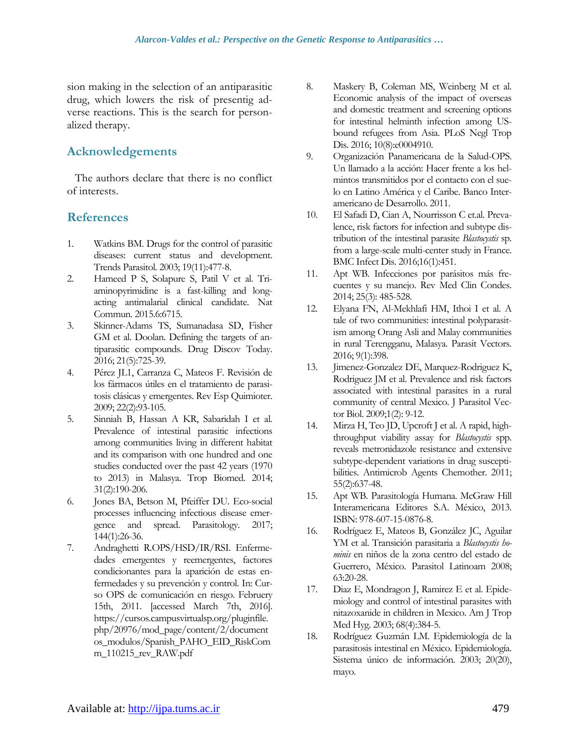sion making in the selection of an antiparasitic drug, which lowers the risk of presentig adverse reactions. This is the search for personalized therapy.

## **Acknowledgements**

The authors declare that there is no conflict of interests.

## **References**

- 1. Watkins BM. Drugs for the control of parasitic diseases: current status and development. Trends Parasitol. 2003; 19(11):477-8.
- 2. Hameed P S, Solapure S, Patil V et al. Triaminopyrimidine is a fast-killing and longacting antimalarial clinical candidate. Nat Commun. 2015.6:6715.
- 3. Skinner-Adams TS, Sumanadasa SD, Fisher GM et al. Doolan. Defining the targets of antiparasitic compounds. Drug Discov Today. 2016; 21(5):725-39.
- 4. Pérez JL1, Carranza C, Mateos F. Revisión de los fármacos útiles en el tratamiento de parasitosis clásicas y emergentes. Rev Esp Quimioter. 2009; 22(2):93-105.
- 5. Sinniah B, Hassan A KR, Sabaridah I et al. Prevalence of intestinal parasitic infections among communities living in different habitat and its comparison with one hundred and one studies conducted over the past 42 years (1970 to 2013) in Malasya. Trop Biomed. 2014; 31(2):190-206.
- 6. Jones BA, Betson M, Pfeiffer DU. Eco-social processes influencing infectious disease emergence and spread. Parasitology. 2017; 144(1):26-36.
- 7. Andraghetti R.OPS/HSD/IR/RSI. Enfermedades emergentes y reemergentes, factores condicionantes para la aparición de estas enfermedades y su prevención y control. In: Curso OPS de comunicación en riesgo. Februery 15th, 2011. [accessed March 7th, 2016]. https://cursos.campusvirtualsp.org/pluginfile. php/20976/mod\_page/content/2/document os\_modulos/Spanish\_PAHO\_EID\_RiskCom m\_110215\_rev\_RAW.pdf
- 8. Maskery B, Coleman MS, Weinberg M et al. Economic analysis of the impact of overseas and domestic treatment and screening options for intestinal helminth infection among USbound refugees from Asia. PLoS Negl Trop Dis. 2016; 10(8):e0004910.
- 9. Organización Panamericana de la Salud-OPS. Un llamado a la acción: Hacer frente a los helmintos transmitidos por el contacto con el suelo en Latino América y el Caribe. Banco Interamericano de Desarrollo. 2011.
- 10. El Safadi D, Cian A, Nourrisson C et.al. Prevalence, risk factors for infection and subtype distribution of the intestinal parasite *Blastocystis* sp. from a large-scale multi-center study in France. BMC Infect Dis. 2016;16(1):451.
- 11. Apt WB. Infecciones por parásitos más frecuentes y su manejo. Rev Med Clin Condes. 2014; 25(3): 485-528.
- 12. Elyana FN, Al-Mekhlafi HM, Ithoi I et al. A tale of two communities: intestinal polyparasitism among Orang Asli and Malay communities in rural Terengganu, Malasya. Parasit Vectors. 2016; 9(1):398.
- 13. Jimenez-Gonzalez DE, Marquez-Rodriguez K, Rodriguez JM et al. Prevalence and risk factors associated with intestinal parasites in a rural community of central Mexico. J Parasitol Vector Biol. 2009;1(2): 9-12.
- 14. Mirza H, Teo JD, Upcroft J et al. A rapid, highthroughput viability assay for *Blastocystis* spp. reveals metronidazole resistance and extensive subtype-dependent variations in drug susceptibilities. Antimicrob Agents Chemother. 2011; 55(2):637-48.
- 15. Apt WB. Parasitología Humana. McGraw Hill Interamericana Editores S.A. México, 2013. ISBN: 978-607-15-0876-8.
- 16. Rodríguez E, Mateos B, González JC, Aguilar YM et al. Transición parasitaria a *Blastocystis hominis* en niños de la zona centro del estado de Guerrero, México. Parasitol Latinoam 2008; 63:20-28.
- 17. Diaz E, Mondragon J, Ramirez E et al. Epidemiology and control of intestinal parasites with nitazoxanide in children in Mexico. Am J Trop Med Hyg. 2003; 68(4):384-5.
- 18. Rodríguez Guzmán LM. Epidemiología de la parasitosis intestinal en México. Epidemiología. Sistema único de información. 2003; 20(20), mayo.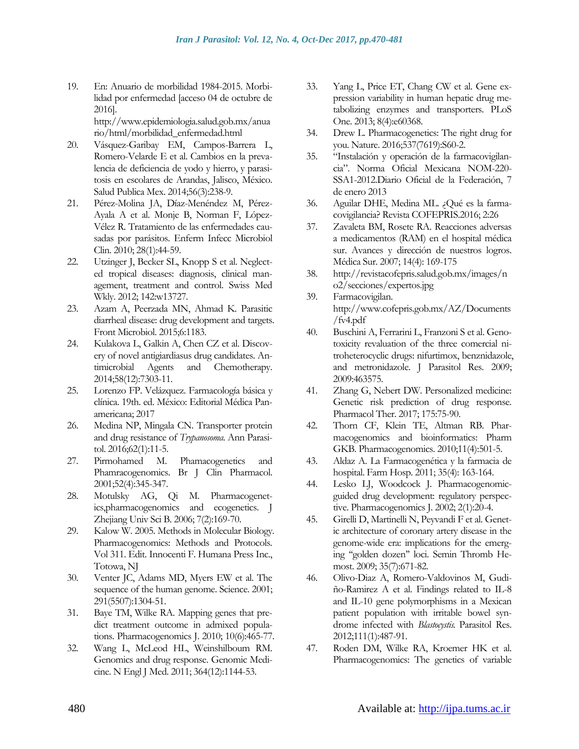19. En: Anuario de morbilidad 1984-2015. Morbilidad por enfermedad [acceso 04 de octubre de 2016]. http://www.epidemiologia.salud.gob.mx/anua

rio/html/morbilidad\_enfermedad.html

- 20. Vásquez-Garibay EM, Campos-Barrera L, Romero-Velarde E et al. Cambios en la prevalencia de deficiencia de yodo y hierro, y parasitosis en escolares de Arandas, Jalisco, México. Salud Publica Mex. 2014;56(3):238-9.
- 21. Pérez-Molina JA, Díaz-Menéndez M, Pérez-Ayala A et al. Monje B, Norman F, López-Vélez R. Tratamiento de las enfermedades causadas por parásitos. Enferm Infecc Microbiol Clin. 2010; 28(1):44-59.
- 22. Utzinger J, Becker SL, Knopp S et al. Neglected tropical diseases: diagnosis, clinical management, treatment and control. Swiss Med Wkly. 2012; 142:w13727.
- 23. Azam A, Peerzada MN, Ahmad K. Parasitic diarrheal disease: drug development and targets. Front Microbiol. 2015;6:1183.
- 24. Kulakova L, Galkin A, Chen CZ et al. Discovery of novel antigiardiasus drug candidates. Antimicrobial Agents and Chemotherapy. 2014;58(12):7303-11.
- 25. Lorenzo FP. Velázquez. Farmacología básica y clínica. 19th. ed. México: Editorial Médica Panamericana; 2017
- 26. Medina NP, Mingala CN. Transporter protein and drug resistance of *Trypanosoma*. Ann Parasitol. 2016;62(1):11-5.
- 27. Pirmohamed M. Phamacogenetics and Phamracogenomics. Br J Clin Pharmacol. 2001;52(4):345-347.
- 28. Motulsky AG, Qi M. Pharmacogenetics,pharmacogenomics and ecogenetics. J Zhejiang Univ Sci B. 2006; 7(2):169-70.
- 29. Kalow W. 2005. Methods in Molecular Biology. Pharmacogenomics: Methods and Protocols. Vol 311. Edit. Innocenti F. Humana Press Inc., Totowa, NJ
- 30. Venter JC, Adams MD, Myers EW et al. The sequence of the human genome. Science. 2001; 291(5507):1304-51.
- 31. Baye TM, Wilke RA. Mapping genes that predict treatment outcome in admixed populations. Pharmacogenomics J. 2010; 10(6):465-77.
- 32. Wang L, McLeod HL, Weinshilboum RM. Genomics and drug response. Genomic Medicine. N Engl J Med. 2011; 364(12):1144-53.
- 33. Yang L, Price ET, Chang CW et al. Gene expression variability in human hepatic drug metabolizing enzymes and transporters. PLoS One. 2013; 8(4):e60368.
- 34. Drew L. Pharmacogenetics: The right drug for you. Nature. 2016;537(7619):S60-2.
- 35. "Instalación y operación de la farmacovigilancia". Norma Oficial Mexicana NOM-220- SSA1-2012.Diario Oficial de la Federación, 7 de enero 2013
- 36. Aguilar DHE, Medina ML. ¿Qué es la farmacovigilancia? Revista COFEPRIS.2016; 2:26
- 37. Zavaleta BM, Rosete RA. Reacciones adversas a medicamentos (RAM) en el hospital médica sur. Avances y dirección de nuestros logros. Médica Sur. 2007; 14(4): 169-175
- 38. http://revistacofepris.salud.gob.mx/images/n o2/secciones/expertos.jpg
- 39. Farmacovigilan. http://www.cofepris.gob.mx/AZ/Documents /fv4.pdf
- 40. Buschini A, Ferrarini L, Franzoni S et al. Genotoxicity revaluation of the three comercial nitroheterocyclic drugs: nifurtimox, benznidazole, and metronidazole. J Parasitol Res. 2009; 2009:463575.
- 41. Zhang G, Nebert DW. Personalized medicine: Genetic risk prediction of drug response. Pharmacol Ther. 2017; 175:75-90.
- 42. Thorn CF, Klein TE, Altman RB. Pharmacogenomics and bioinformatics: Pharm GKB. Pharmacogenomics. 2010;11(4):501-5.
- 43. Aldaz A. La Farmacogenética y la farmacia de hospital. Farm Hosp. 2011; 35(4): 163-164.
- 44. Lesko LJ, Woodcock J. Pharmacogenomicguided drug development: regulatory perspective. Pharmacogenomics J. 2002; 2(1):20-4.
- 45. Girelli D, Martinelli N, Peyvandi F et al. Genetic architecture of coronary artery disease in the genome-wide era: implications for the emerging ''golden dozen'' loci. Semin Thromb Hemost. 2009; 35(7):671-82.
- 46. Olivo-Diaz A, Romero-Valdovinos M, Gudiño-Ramirez A et al. Findings related to IL-8 and IL-10 gene polymorphisms in a Mexican patient population with irritable bowel syndrome infected with *Blastocystis.* Parasitol Res. 2012;111(1):487-91.
- 47. Roden DM, Wilke RA, Kroemer HK et al. Pharmacogenomics: The genetics of variable